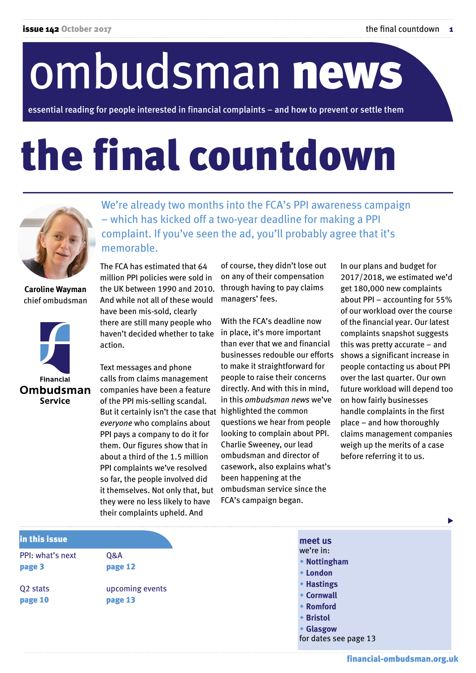# ombudsman news

essential reading for people interested in financial complaints – and how to prevent or settle them

## the final countdown



**Caroline Wayman** chief ombudsman



We're already two months into the FCA's PPI awareness campaign – which has kicked off a two-year deadline for making a PPI complaint. If you've seen the ad, you'll probably agree that it's memorable.

The FCA has estimated that 64 million PPI policies were sold in the UK between 1990 and 2010. And while not all of these would have been mis-sold, clearly there are still many people who haven't decided whether to take action.

Text messages and phone calls from claims management companies have been a feature of the PPI mis-selling scandal. But it certainly isn't the case that highlighted the common *everyone* who complains about PPI pays a company to do it for them. Our figures show that in about a third of the 1.5 million PPI complaints we've resolved so far, the people involved did it themselves. Not only that, but they were no less likely to have their complaints upheld. And

of course, they didn't lose out on any of their compensation through having to pay claims managers' fees.

With the FCA's deadline now in place, it's more important than ever that we and financial businesses redouble our efforts to make it straightforward for people to raise their concerns directly. And with this in mind, in this *ombudsman news* we've questions we hear from people looking to complain about PPI. Charlie Sweeney, our lead ombudsman and director of casework, also explains what's been happening at the ombudsman service since the FCA's campaign began.

w **Glasgow**

for dates see page 13

In our plans and budget for 2017/2018, we estimated we'd get 180,000 new complaints about PPI – accounting for 55% of our workload over the course of the financial year. Our latest complaints snapshot suggests this was pretty accurate – and shows a significant increase in people contacting us about PPI over the last quarter. Our own future workload will depend too on how fairly businesses handle complaints in the first place – and how thoroughly claims management companies weigh up the merits of a case before referring it to us.

| in this issue        |                 |
|----------------------|-----------------|
| PPI: what's next     | <b>O&amp;A</b>  |
| page 3               | page 12         |
| Q <sub>2</sub> stats | upcoming events |
| page 10              | page 13         |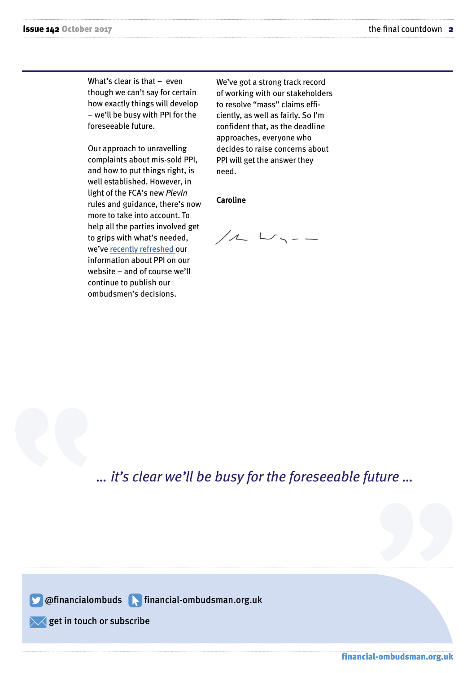What's clear is that – even though we can't say for certain how exactly things will develop – we'll be busy with PPI for the foreseeable future.

Our approach to unravelling complaints about mis-sold PPI, and how to put things right, is well established. However, in light of the FCA's new *Plevin* rules and guidance, there's now more to take into account. To help all the parties involved get to grips with what's needed, we've [recently refreshed o](http://www.financial-ombudsman.org.uk/ppi/index.html)ur information about PPI on our website – and of course we'll continue to publish our ombudsmen's decisions.

We've got a strong track record of working with our stakeholders to resolve "mass" claims efficiently, as well as fairly. So I'm confident that, as the deadline approaches, everyone who decides to raise concerns about PPI will get the answer they need.

#### **Caroline**

 $/2$   $\cup$   $\sim$   $-$ 

*… it's clear we'll be busy for the foreseeable future …* 

**S** @financialombuds **A** financial-ombudsman.org.uk

 $\sqrt{\phantom{a}}$  get in touch or [subscribe](http://financialombudsmanservice.newsweaver.co.uk/Newsletter/tt5l8olxtzg?a=6&p=52206517&t=20671725)

financial-ombudsman.org.uk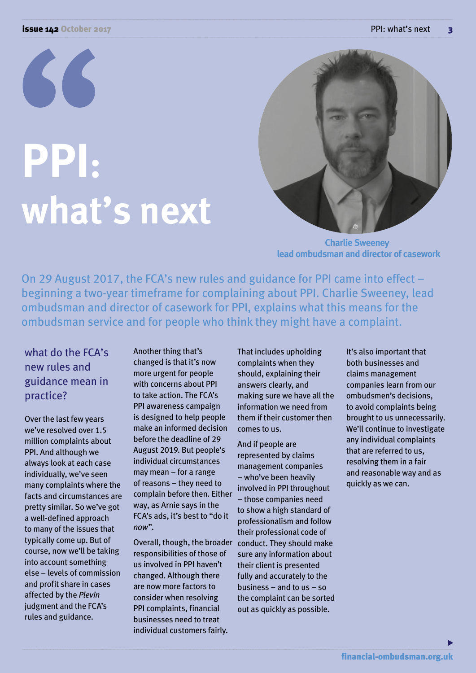# **PPI: what's next**



 **Charlie Sweeney lead ombudsman and director of casework**

On 29 August 2017, the FCA's new rules and guidance for PPI came into effect – beginning a two-year timeframe for complaining about PPI. Charlie Sweeney, lead ombudsman and director of casework for PPI, explains what this means for the ombudsman service and for people who think they might have a complaint.

#### what do the FCA's new rules and guidance mean in practice?

Over the last few years we've resolved over 1.5 million complaints about PPI. And although we always look at each case individually, we've seen many complaints where the facts and circumstances are pretty similar. So we've got a well-defined approach to many of the issues that typically come up. But of course, now we'll be taking into account something else – levels of commission and profit share in cases affected by the *Plevin*  judgment and the FCA's rules and guidance.

Another thing that's changed is that it's now more urgent for people with concerns about PPI to take action. The FCA's PPI awareness campaign is designed to help people make an informed decision before the deadline of 29 August 2019. But people's individual circumstances may mean – for a range of reasons – they need to complain before then. Either way, as Arnie says in the FCA's ads, it's best to "do it *now*".

Overall, though, the broader conduct. They should make responsibilities of those of us involved in PPI haven't changed. Although there are now more factors to consider when resolving PPI complaints, financial businesses need to treat individual customers fairly.

That includes upholding complaints when they should, explaining their answers clearly, and making sure we have all the information we need from them if their customer then comes to us.

And if people are represented by claims management companies – who've been heavily involved in PPI throughout – those companies need to show a high standard of professionalism and follow their professional code of sure any information about their client is presented fully and accurately to the business – and to us – so the complaint can be sorted out as quickly as possible.

It's also important that both businesses and claims management companies learn from our ombudsmen's decisions, to avoid complaints being brought to us unnecessarily. We'll continue to investigate any individual complaints that are referred to us, resolving them in a fair and reasonable way and as quickly as we can.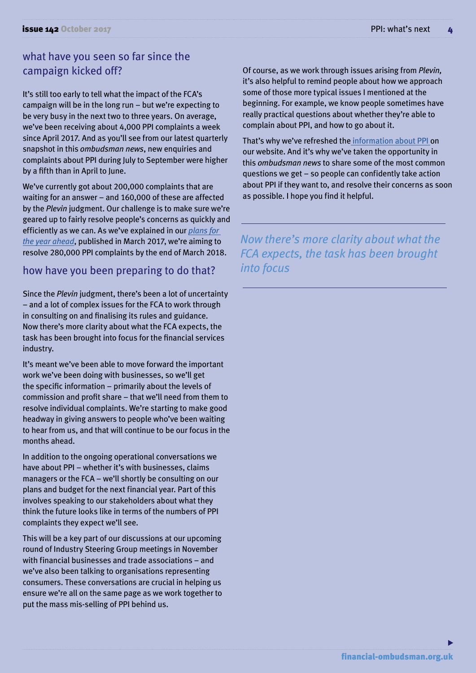#### what have you seen so far since the campaign kicked off?

It's still too early to tell what the impact of the FCA's campaign will be in the long run – but we're expecting to be very busy in the next two to three years. On average, we've been receiving about 4,000 PPI complaints a week since April 2017. And as you'll see from our latest quarterly snapshot in this *ombudsman news*, new enquiries and complaints about PPI during July to September were higher by a fifth than in April to June.

We've currently got about 200,000 complaints that are waiting for an answer – and 160,000 of these are affected by the *Plevin* judgment. Our challenge is to make sure we're geared up to fairly resolve people's concerns as quickly and efficiently as we can. As we've explained in our *[plans for](http://www.financial-ombudsman.org.uk/publications/plan-budget.htm)  [the year ahead](http://www.financial-ombudsman.org.uk/publications/plan-budget.htm)*, published in March 2017, we're aiming to resolve 280,000 PPI complaints by the end of March 2018.

#### how have you been preparing to do that?

Since the *Plevin* judgment, there's been a lot of uncertainty – and a lot of complex issues for the FCA to work through in consulting on and finalising its rules and guidance. Now there's more clarity about what the FCA expects, the task has been brought into focus for the financial services industry.

It's meant we've been able to move forward the important work we've been doing with businesses, so we'll get the specific information – primarily about the levels of commission and profit share – that we'll need from them to resolve individual complaints. We're starting to make good headway in giving answers to people who've been waiting to hear from us, and that will continue to be our focus in the months ahead.

In addition to the ongoing operational conversations we have about PPI – whether it's with businesses, claims managers or the FCA – we'll shortly be consulting on our plans and budget for the next financial year. Part of this involves speaking to our stakeholders about what they think the future looks like in terms of the numbers of PPI complaints they expect we'll see.

This will be a key part of our discussions at our upcoming round of Industry Steering Group meetings in November with financial businesses and trade associations – and we've also been talking to organisations representing consumers. These conversations are crucial in helping us ensure we're all on the same page as we work together to put the mass mis-selling of PPI behind us.

Of course, as we work through issues arising from *Plevin,* it's also helpful to remind people about how we approach some of those more typical issues I mentioned at the beginning. For example, we know people sometimes have really practical questions about whether they're able to complain about PPI, and how to go about it.

That's why we've refreshed the [information about PPI](http://www.financial-ombudsman.org.uk/ppi/index.html) on our website. And it's why we've taken the opportunity in this *ombudsman news* to share some of the most common questions we get – so people can confidently take action about PPI if they want to, and resolve their concerns as soon as possible. I hope you find it helpful.

*Now there's more clarity about what the FCA expects, the task has been brought into focus*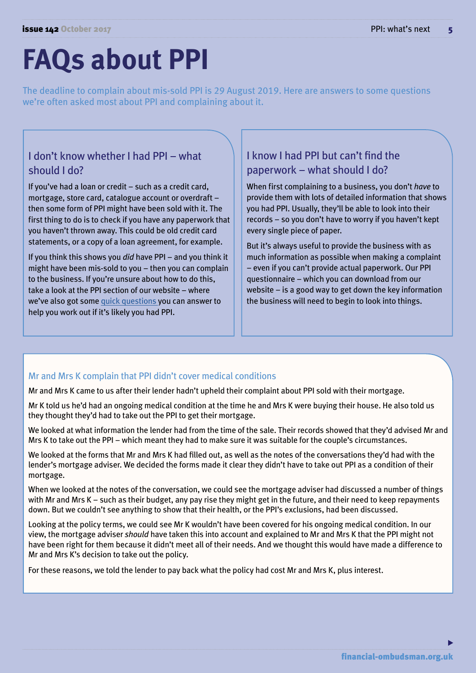## **FAQs about PPI**

The deadline to complain about mis-sold PPI is 29 August 2019. Here are answers to some questions we're often asked most about PPI and complaining about it.

#### I don't know whether I had PPI – what should I do?

If you've had a loan or credit – such as a credit card, mortgage, store card, catalogue account or overdraft – then some form of PPI might have been sold with it. The first thing to do is to check if you have any paperwork that you haven't thrown away. This could be old credit card statements, or a copy of a loan agreement, for example.

If you think this shows you *did* have PPI – and you think it might have been mis-sold to you – then you can complain to the business. If you're unsure about how to do this, take a look at the PPI section of our website – where we've also got some [quick questions y](http://www.financial-ombudsman.org/publications/technical_notes/ppi-not-sure.html)ou can answer to help you work out if it's likely you had PPI.

#### I know I had PPI but can't find the paperwork – what should I do?

When first complaining to a business, you don't *have* to provide them with lots of detailed information that shows you had PPI. Usually, they'll be able to look into their records – so you don't have to worry if you haven't kept every single piece of paper.

But it's always useful to provide the business with as much information as possible when making a complaint – even if you can't provide actual paperwork. Our PPI questionnaire – which you can download from our website – is a good way to get down the key information the business will need to begin to look into things.

#### Mr and Mrs K complain that PPI didn't cover medical conditions

Mr and Mrs K came to us after their lender hadn't upheld their complaint about PPI sold with their mortgage.

Mr K told us he'd had an ongoing medical condition at the time he and Mrs K were buying their house. He also told us they thought they'd had to take out the PPI to get their mortgage.

We looked at what information the lender had from the time of the sale. Their records showed that they'd advised Mr and Mrs K to take out the PPI – which meant they had to make sure it was suitable for the couple's circumstances.

We looked at the forms that Mr and Mrs K had filled out, as well as the notes of the conversations they'd had with the lender's mortgage adviser. We decided the forms made it clear they didn't have to take out PPI as a condition of their mortgage.

When we looked at the notes of the conversation, we could see the mortgage adviser had discussed a number of things with Mr and Mrs K – such as their budget, any pay rise they might get in the future, and their need to keep repayments down. But we couldn't see anything to show that their health, or the PPI's exclusions, had been discussed.

Looking at the policy terms, we could see Mr K wouldn't have been covered for his ongoing medical condition. In our view, the mortgage adviser *should* have taken this into account and explained to Mr and Mrs K that the PPI might not have been right for them because it didn't meet all of their needs. And we thought this would have made a difference to Mr and Mrs K's decision to take out the policy.

For these reasons, we told the lender to pay back what the policy had cost Mr and Mrs K, plus interest.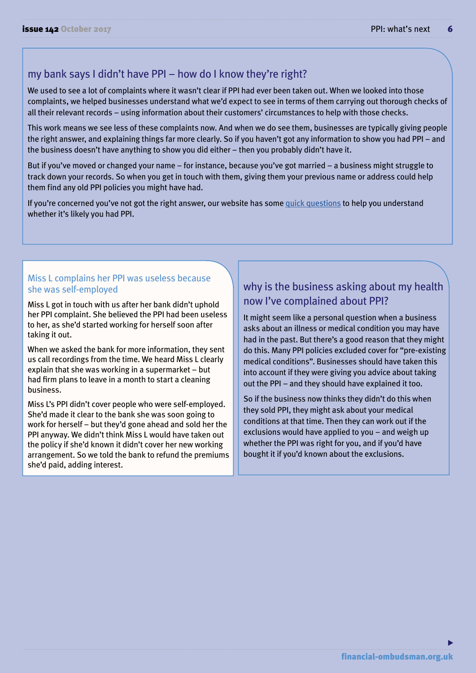#### my bank says I didn't have PPI – how do I know they're right?

We used to see a lot of complaints where it wasn't clear if PPI had ever been taken out. When we looked into those complaints, we helped businesses understand what we'd expect to see in terms of them carrying out thorough checks of all their relevant records – using information about their customers' circumstances to help with those checks.

This work means we see less of these complaints now. And when we do see them, businesses are typically giving people the right answer, and explaining things far more clearly. So if you haven't got any information to show you had PPI – and the business doesn't have anything to show you did either – then you probably didn't have it.

But if you've moved or changed your name – for instance, because you've got married – a business might struggle to track down your records. So when you get in touch with them, giving them your previous name or address could help them find any old PPI policies you might have had.

If you're concerned you've not got the right answer, our website has some [quick questions](http://ppi.financial-ombudsman.org.uk/consumer.aspx) to help you understand whether it's likely you had PPI.

#### Miss L complains her PPI was useless because she was self-employed

Miss L got in touch with us after her bank didn't uphold her PPI complaint. She believed the PPI had been useless to her, as she'd started working for herself soon after taking it out.

When we asked the bank for more information, they sent us call recordings from the time. We heard Miss L clearly explain that she was working in a supermarket – but had firm plans to leave in a month to start a cleaning business.

Miss L's PPI didn't cover people who were self-employed. She'd made it clear to the bank she was soon going to work for herself – but they'd gone ahead and sold her the PPI anyway. We didn't think Miss L would have taken out the policy if she'd known it didn't cover her new working arrangement. So we told the bank to refund the premiums she'd paid, adding interest.

#### why is the business asking about my health now I've complained about PPI?

It might seem like a personal question when a business asks about an illness or medical condition you may have had in the past. But there's a good reason that they might do this. Many PPI policies excluded cover for "pre-existing medical conditions". Businesses should have taken this into account if they were giving you advice about taking out the PPI – and they should have explained it too.

So if the business now thinks they didn't do this when they sold PPI, they might ask about your medical conditions at that time. Then they can work out if the exclusions would have applied to you – and weigh up whether the PPI was right for you, and if you'd have bought it if you'd known about the exclusions.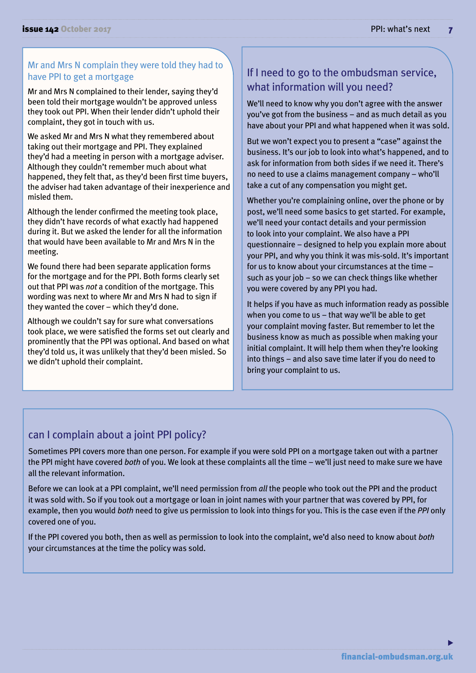#### Mr and Mrs N complain they were told they had to have PPI to get a mortgage

Mr and Mrs N complained to their lender, saying they'd been told their mortgage wouldn't be approved unless they took out PPI. When their lender didn't uphold their complaint, they got in touch with us.

We asked Mr and Mrs N what they remembered about taking out their mortgage and PPI. They explained they'd had a meeting in person with a mortgage adviser. Although they couldn't remember much about what happened, they felt that, as they'd been first time buyers, the adviser had taken advantage of their inexperience and misled them.

Although the lender confirmed the meeting took place, they didn't have records of what exactly had happened during it. But we asked the lender for all the information that would have been available to Mr and Mrs N in the meeting.

We found there had been separate application forms for the mortgage and for the PPI. Both forms clearly set out that PPI was *not* a condition of the mortgage. This wording was next to where Mr and Mrs N had to sign if they wanted the cover – which they'd done.

Although we couldn't say for sure what conversations took place, we were satisfied the forms set out clearly and prominently that the PPI was optional. And based on what they'd told us, it was unlikely that they'd been misled. So we didn't uphold their complaint.

#### If I need to go to the ombudsman service, what information will you need?

We'll need to know why you don't agree with the answer you've got from the business – and as much detail as you have about your PPI and what happened when it was sold.

But we won't expect you to present a "case" against the business. It's our job to look into what's happened, and to ask for information from both sides if we need it. There's no need to use a claims management company – who'll take a cut of any compensation you might get.

Whether you're complaining online, over the phone or by post, we'll need some basics to get started. For example, we'll need your contact details and your permission to look into your complaint. We also have a PPI questionnaire – designed to help you explain more about your PPI, and why you think it was mis-sold. It's important for us to know about your circumstances at the time – such as your job – so we can check things like whether you were covered by any PPI you had.

It helps if you have as much information ready as possible when you come to us – that way we'll be able to get your complaint moving faster. But remember to let the business know as much as possible when making your initial complaint. It will help them when they're looking into things – and also save time later if you do need to bring your complaint to us.

#### can I complain about a joint PPI policy?

Sometimes PPI covers more than one person. For example if you were sold PPI on a mortgage taken out with a partner the PPI might have covered *both* of you. We look at these complaints all the time – we'll just need to make sure we have all the relevant information.

Before we can look at a PPI complaint, we'll need permission from *all* the people who took out the PPI and the product it was sold with. So if you took out a mortgage or loan in joint names with your partner that was covered by PPI, for example, then you would *both* need to give us permission to look into things for you. This is the case even if the *PPI* only covered one of you.

If the PPI covered you both, then as well as permission to look into the complaint, we'd also need to know about *both*  your circumstances at the time the policy was sold.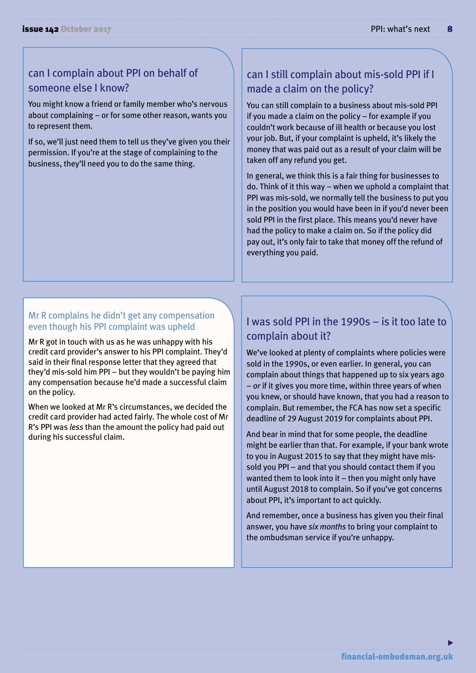#### can I complain about PPI on behalf of someone else I know?

You might know a friend or family member who's nervous about complaining – or for some other reason, wants you to represent them.

If so, we'll just need them to tell us they've given you their permission. If you're at the stage of complaining to the business, they'll need you to do the same thing.

#### can I still complain about mis-sold PPI if I made a claim on the policy?

You can still complain to a business about mis-sold PPI if you made a claim on the policy – for example if you couldn't work because of ill health or because you lost your job. But, if your complaint is upheld, it's likely the money that was paid out as a result of your claim will be taken off any refund you get.

In general, we think this is a fair thing for businesses to do. Think of it this way – when we uphold a complaint that PPI was mis-sold, we normally tell the business to put you in the position you would have been in if you'd never been sold PPI in the first place. This means you'd never have had the policy to make a claim on. So if the policy did pay out, it's only fair to take that money off the refund of everything you paid.

#### Mr R complains he didn't get any compensation even though his PPI complaint was upheld

Mr R got in touch with us as he was unhappy with his credit card provider's answer to his PPI complaint. They'd said in their final response letter that they agreed that they'd mis-sold him PPI – but they wouldn't be paying him any compensation because he'd made a successful claim on the policy.

When we looked at Mr R's circumstances, we decided the credit card provider had acted fairly. The whole cost of Mr R's PPI was *less* than the amount the policy had paid out during his successful claim.

#### I was sold PPI in the 1990s – is it too late to complain about it?

We've looked at plenty of complaints where policies were sold in the 1990s, or even earlier. In general, you can complain about things that happened up to six years ago – *or* if it gives you more time, within three years of when you knew, or should have known, that you had a reason to complain. But remember, the FCA has now set a specific deadline of 29 August 2019 for complaints about PPI.

And bear in mind that for some people, the deadline might be earlier than that. For example, if your bank wrote to you in August 2015 to say that they might have missold you PPI – and that you should contact them if you wanted them to look into it – then you might only have until August 2018 to complain. So if you've got concerns about PPI, it's important to act quickly.

And remember, once a business has given you their final answer, you have *six months* to bring your complaint to the ombudsman service if you're unhappy.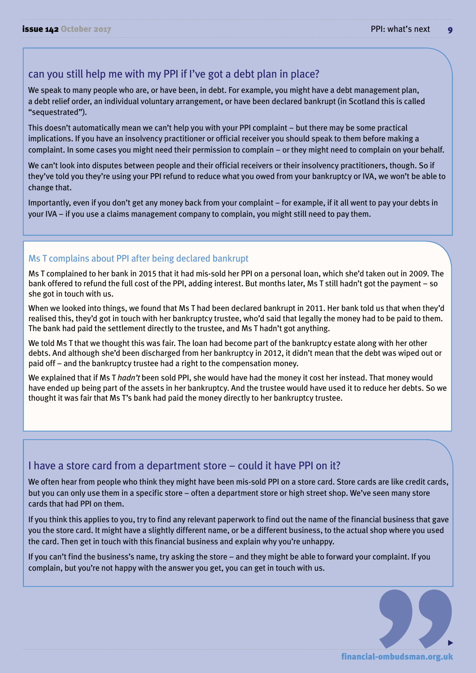#### can you still help me with my PPI if I've got a debt plan in place?

We speak to many people who are, or have been, in debt. For example, you might have a debt management plan, a debt relief order, an individual voluntary arrangement, or have been declared bankrupt (in Scotland this is called "sequestrated").

This doesn't automatically mean we can't help you with your PPI complaint – but there may be some practical implications. If you have an insolvency practitioner or official receiver you should speak to them before making a complaint. In some cases you might need their permission to complain – or they might need to complain on your behalf.

We can't look into disputes between people and their official receivers or their insolvency practitioners, though. So if they've told you they're using your PPI refund to reduce what you owed from your bankruptcy or IVA, we won't be able to change that.

Importantly, even if you don't get any money back from your complaint – for example, if it all went to pay your debts in your IVA – if you use a claims management company to complain, you might still need to pay them.

#### Ms T complains about PPI after being declared bankrupt

Ms T complained to her bank in 2015 that it had mis-sold her PPI on a personal loan, which she'd taken out in 2009. The bank offered to refund the full cost of the PPI, adding interest. But months later, Ms T still hadn't got the payment – so she got in touch with us.

When we looked into things, we found that Ms T had been declared bankrupt in 2011. Her bank told us that when they'd realised this, they'd got in touch with her bankruptcy trustee, who'd said that legally the money had to be paid to them. The bank had paid the settlement directly to the trustee, and Ms T hadn't got anything.

We told Ms T that we thought this was fair. The loan had become part of the bankruptcy estate along with her other debts. And although she'd been discharged from her bankruptcy in 2012, it didn't mean that the debt was wiped out or paid off – and the bankruptcy trustee had a right to the compensation money.

We explained that if Ms T *hadn't* been sold PPI, she would have had the money it cost her instead. That money would have ended up being part of the assets in her bankruptcy. And the trustee would have used it to reduce her debts. So we thought it was fair that Ms T's bank had paid the money directly to her bankruptcy trustee.

#### I have a store card from a department store – could it have PPI on it?

We often hear from people who think they might have been mis-sold PPI on a store card. Store cards are like credit cards, but you can only use them in a specific store – often a department store or high street shop. We've seen many store cards that had PPI on them.

If you think this applies to you, try to find any relevant paperwork to find out the name of the financial business that gave you the store card. It might have a slightly different name, or be a different business, to the actual shop where you used the card. Then get in touch with this financial business and explain why you're unhappy.

If you can't find the business's name, try asking the store – and they might be able to forward your complaint. If you complain, but you're not happy with the answer you get, you can get in touch with us.

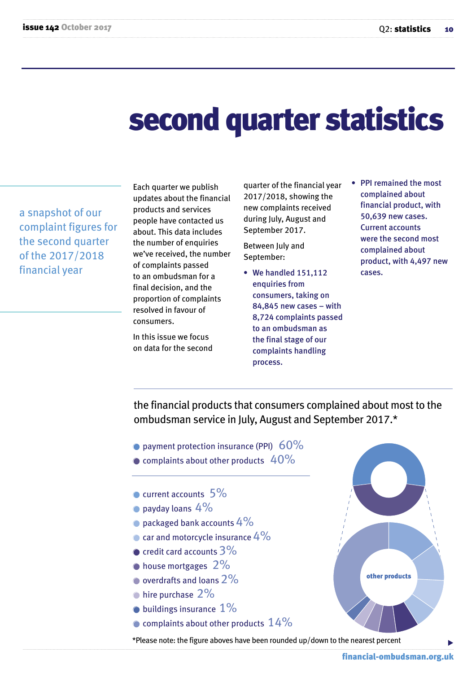### second quarter statistics

a snapshot of our complaint figures for the second quarter of the 2017/2018 financial year

Each quarter we publish updates about the financial products and services people have contacted us about. This data includes the number of enquiries we've received, the number of complaints passed to an ombudsman for a final decision, and the proportion of complaints resolved in favour of consumers.

In this issue we focus on data for the second quarter of the financial year 2017/2018, showing the new complaints received during July, August and September 2017.

Between July and September:

- We handled 151,112 enquiries from consumers, taking on 84,845 new cases – with 8,724 complaints passed to an ombudsman as the final stage of our complaints handling process.
- PPI remained the most complained about financial product, with 50,639 new cases. Current accounts were the second most complained about product, with 4,497 new cases.

the financial products that consumers complained about most to the ombudsman service in July, August and September 2017.\*

- payment protection insurance (PPI)  $60\%$
- $\bullet$  complaints about other products  $40\%$
- current accounts 5%
- payday loans  $4\%$
- packaged bank accounts  $4\%$
- $\bullet$  car and motorcycle insurance  $4\%$
- $\bullet$  credit card accounts  $3\%$
- **•house mortgages** 2%
- overdrafts and loans 2%
- $\bullet$  hire purchase  $2\%$
- $\bullet$  buildings insurance  $1\%$
- $\bullet$  complaints about other products  $14\%$

\*Please note: the figure aboves have been rounded up/down to the nearest percent



other products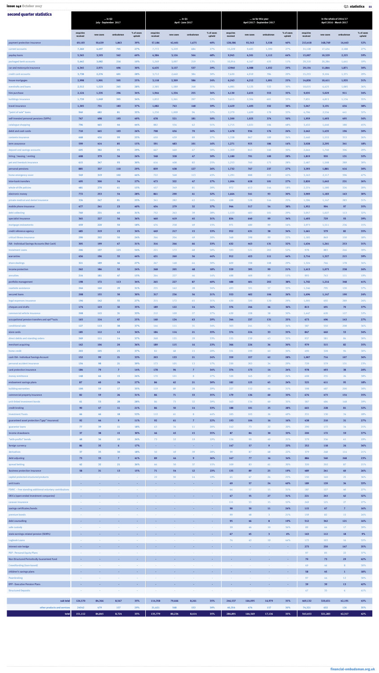| second quarter statistics                                                                           | in Q2<br>July - September 2017 |                        |                                   | $\ldots$ in Q1<br>April - June 2017 |                      |                       |                                    | so far this year<br>April 2017 - September 2017 |                     |                     |                               | in the whole of 2016/17<br>April 2016 - March 2017 |                       |                       |                     |               |
|-----------------------------------------------------------------------------------------------------|--------------------------------|------------------------|-----------------------------------|-------------------------------------|----------------------|-----------------------|------------------------------------|-------------------------------------------------|---------------------|---------------------|-------------------------------|----------------------------------------------------|-----------------------|-----------------------|---------------------|---------------|
|                                                                                                     | enquiries                      |                        |                                   | % of cases                          | enquiries            |                       |                                    | % of cases                                      | enquiries           |                     |                               | % of cases                                         | enquiries             |                       |                     | % of cases    |
| payment protection insurance                                                                        | received<br>69,103             | new cases<br>50,639    | ombudsman<br>1,863                | upheld<br>39%                       | received<br>57,186   | new cases<br>42,401   | ombudsman<br>1,675                 | upheld<br>40%                                   | received<br>128,586 | new cases<br>92,563 | ombudsman<br>3,538            | upheld<br>40%                                      | received<br>213,418   | new cases<br>168,769  | ombudsman<br>16,443 | upheld<br>52% |
| current accounts                                                                                    | 7,260                          | 4,497                  | 705                               | 27%                                 | 7,772                | 5,229                 | 684                                | 27%                                             | 15,229              | 9,683               | 1,390                         | 27%                                                | 31,128                | 17,434                | 2,188               | 27%           |
| payday loans<br>packaged bank accounts                                                              | 5,565<br>5,442                 | 3,593<br>3,082         | 562<br>216                        | 60%<br>10%                          | 4,384<br>5,269       | 3,126<br>3,097        | 564<br>219                         | 68%<br>13%                                      | 9,945<br>10,914     | 6,501<br>6,167      | 1,112<br>435                  | 64%<br>11%                                         | 15,007<br>29,310      | 10,529<br>20,284      | 2,225<br>1,641      | 59%<br>19%    |
| car and motorcycle insurance                                                                        | 6,345                          | 2,971                  | 496                               | 30%                                 | 6,435                | 3,137                 | 537                                | 29%                                             | 12940               | 6,088               | 1,032                         | 29%                                                | 29,154                | 11,844                | 1,871               | 30%           |
| credit card accounts<br>house mortgages                                                             | 3,738<br>2,998                 | 2,276<br>1,901         | 401<br>505                        | 28%<br>25%                          | 3,712<br>3,118       | 2,640<br>2,309        | 384<br>586                         | 30%<br>24%                                      | 7,620<br>6,243      | 4,919<br>4,212      | 784<br>1,091                  | 29%<br>25%                                         | 15,253<br>14,830      | 9,104<br>10,411       | 1,371<br>1,935      | 29%<br>31%    |
| overdrafts and loans                                                                                | 2,512                          | 1,523                  | 265                               | 28%                                 | 2,385                | 1,589                 | 268                                | 31%                                             | 4,985               | 3,125               | 532                           | 30%                                                | 10,015                | 6,425                 | 1,085               | 26%           |
| hire purchase<br>buildings insurance                                                                | 2,124<br>1,739                 | 1,335<br>1,049         | 296<br>305                        | 34%<br>34%                          | 1,944<br>1,832       | 1,334<br>1,261        | 255<br>297                         | 36%<br>32%                                      | 4,130<br>3,615      | 2,655<br>2,304      | 553<br>601                    | 35%<br>33%                                         | 9,035<br>7,831        | 5,029<br>4,815        | 911<br>1,134        | 34%<br>35%    |
| travel insurance                                                                                    | 1,305                          | 731                    | 183                               | 37%                                 | 1,082                | 763                   | 148                                | 39%                                             | 2,429               | 1,493               | 332                           | 38%                                                | 5,047                 | 3,191                 | 656                 | 38%           |
| "point of sale" loans<br>self-invested personal pensions (SIPPs)                                    | 940<br>767                     | 682<br>498             | 81<br>193                         | 35%<br>49%                          | 1,250<br>678         | 1,009<br>521          | 96<br>181                          | 32%<br>50%                                      | 2,279<br>1,500      | 1,699<br>1,025      | 178<br>374                    | 33%<br>50%                                         | 4,706<br>1,959        | 2,556<br>1,493        | 441<br>495          | 32%<br>56%    |
| catalogue shopping                                                                                  | 796                            | 465                    | 44                                | 44%                                 | 882                  | 556                   | 62                                 | 51%                                             | 1,715               | 1,021               | 106                           | 48%                                                | 3,432                 | 1,640                 | 180                 | 45%           |
| debit and cash cards<br>contents insurance                                                          | 710<br>668                     | 445<br>426             | 103<br>99                         | 26%<br>25%                          | 708<br>650           | 456<br>439            | 70<br>89                           | 26%<br>27%                                      | 1,478<br>1,338      | 936<br>867          | 176<br>189                    | 26%<br>26%                                         | 2,442<br>2,440        | 1,435<br>1,555        | 196<br>353          | 30%<br>26%    |
| term assurance                                                                                      | 599                            | 414                    | 85                                | 15%                                 | 591                  | 483                   | 101                                | 16%                                             | 1,271               | 925                 | 186                           | 16%                                                | 3,028                 | 2,295                 | 341                 | 18%           |
| deposit and savings accounts<br>hiring / leasing / renting                                          | 605<br>608                     | 382<br>379             | 95<br>56                          | 29%<br>26%                          | 667<br>548           | 460<br>328            | 67<br>47                           | 30%<br>30%                                      | 1,309<br>1,180      | 843<br>701          | 160<br>100                    | 30%<br>28%                                         | 2,644<br>1,819        | 1,740<br>920          | 306<br>131          | 29%<br>32%    |
| pet and livestock insurance                                                                         | 615                            | 347                    | 93                                | 30%                                 | 616                  | 408                   | 82                                 | 25%                                             | 1,253               | 760                 | 175                           | 28%                                                | 2,487                 | 1,508                 | 289                 | 30%           |
| personal pensions<br>home emergency cover                                                           | 885<br>549                     | 337<br>319             | <b>110</b><br>102                 | 29%<br>44%                          | 839<br>722           | 438<br>568            | 127<br>113                         | 26%<br>45%                                      | 1,732<br>1,291      | 767<br>888          | 237<br>215                    | 27%<br>45%                                         | 3,393<br>3,163        | 1,881<br>2,117        | 416<br>396          | 30%<br>47%    |
| inter-bank transfers                                                                                | 495                            | 300                    | 54                                | 27%                                 | 473                  | 322                   | 47                                 | 27%                                             | 1,004               | 628                 | 101                           | 27%                                                | 2,820                 | 1,645                 | 231                 | 26%           |
| whole-of-life policies<br>electronic money                                                          | 481<br>772                     | 270<br>253             | 61<br>54                          | 15%<br>28%                          | 457<br>861           | 349<br>290            | 81<br>41                           | 20%<br>32%                                      | 972<br>1,664        | 613<br>541          | 144<br>93                     | 18%<br>30%                                         | 2,374<br>3,909        | 1,580<br>1,183        | 326<br>163          | 20%<br>30%    |
| private medical and dental insurance                                                                | 334                            | 247                    | 81                                | 25%                                 | 341                  | 282                   | 63                                 | 24%                                             | 698                 | 528                 | 144                           | 25%                                                | 1,596                 | 1,147                 | 283                 | 31%           |
| mobile phone insurance<br>debt collecting                                                           | 477<br>760                     | 241<br>231             | 23<br>60                          | 40%<br>31%                          | 454<br>752           | 279<br>263            | 32 <sub>2</sub><br>39              | 37%<br>28%                                      | 944<br>1,533        | 517<br>483          | 54<br>101                     | 38%<br>29%                                         | 1,952<br>3,057        | 904<br>1,027          | 97<br>113           | 35%<br>32%    |
| specialist insurance                                                                                | 365                            | 227                    | 56                                | 36%                                 | 460                  | 419                   | 45                                 | 31%                                             | 834                 | 640                 | 99                            | 34%                                                | 1,493                 | 729                   | 93                  | 39%           |
| mortgage endowments<br>credit reference agency                                                      | 459<br>485                     | 220<br>219             | 50<br>23                          | 18%<br>34%                          | 476<br>449           | 258<br>217            | 49<br>15                           | 15%<br>33%                                      | 971<br>952          | 480<br>431          | 99<br>38                      | 16%<br>34%                                         | 2,973<br>1,461        | 1,511<br>579          | 236<br>82           | 15%<br>35%    |
| critical illness insurance                                                                          | 290                            | 202                    | 50                                | 24%                                 | 266                  | 204                   | 49                                 | 20%                                             | 568                 | 398                 | 99                            | 22%                                                | 1,185                 | 849                   | 150                 | 18%           |
| ISA - Individual Savings Accounts (Not Cash)<br><b>Instalment Loans</b>                             | 305<br>206                     | 199<br>197             | 67<br>125                         | 31%<br>54%                          | 316<br>221           | 266<br>172            | 66<br>68                           | 33%<br>50%                                      | 632<br>593          | 463<br>521          | 131<br>203                    | 32%<br>52%                                         | 1,634<br>978          | 1,261<br>883          | 253<br>246          | 31%<br>39%    |
| warranties                                                                                          | 456                            | 196                    | 55                                | 44%                                 | 431                  | 260                   | 56                                 | 44%                                             | 912                 | 453                 | 111                           | 44%                                                | 2,716                 | 1,327                 | 215                 | 39%           |
| share dealings<br>income protection                                                                 | 321<br>262                     | 189<br>186             | 46<br>52                          | 27%<br>24%                          | 267<br>268           | 148<br>205            | 64<br>48                           | 30%<br>18%                                      | 609<br>559          | 338<br>395          | 108<br>99                     | 29%<br>21%                                         | 1,324<br>1,413        | 746<br>1,075          | 178<br>258          | 34%<br>26%    |
| annuities                                                                                           | 214                            | 181                    | 47                                | 15%                                 | 264                  | 227                   | 46                                 | 14%                                             | 498                 | 409                 | 93                            | 15%                                                | 993                   | 743                   | 111                 | 19%           |
| portfolio management<br>roadside assistance                                                         | 198<br>246                     | 172<br>160             | 113<br>29                         | 34%<br>31%                          | 265<br>235           | 227<br>162            | 87<br>28                           | 40%<br>34%                                      | 488<br>493          | 401<br>321          | 202<br>57                     | 38%<br>33%                                         | 1,702<br>1,346        | 1,216<br>795          | 348<br>130          | 41%<br>37%    |
| secured loans                                                                                       | 208                            | 155                    | 50                                | 30%                                 | 317                  | 236                   | 56                                 | 21%                                             | 553                 | 402                 | 106                           | 26%                                                | 1,694                 | 1,147                 | 190                 | 24%           |
| legal expenses insurance<br>cheques and drafts                                                      | 196<br>174                     | 142<br>123             | 55<br>32                          | 27%<br>35%                          | 215<br>189           | 172<br>122            | 65<br>14                           | 31%<br>36%                                      | 430<br>376          | 320<br>246          | 120<br>46                     | 29%<br>36%                                         | 1,005<br>813          | 692<br>491            | 289<br>70           | 26%<br>37%    |
| commercial vehicle insurance                                                                        | 208                            | 115                    | 31                                | 33%                                 | 212                  | 109                   | 27                                 | 27%                                             | 439                 | 228                 | 58                            | 30%                                                | 1,447                 | 620                   | 127                 | 32%           |
| occupational pension transfers and opt**outs<br>conditional sale                                    | 165<br>127                     | 114<br>113             | 67<br>38                          | 25%<br>37%                          | 160<br>144           | 124<br>111            | 63<br>31                           | 29%<br>34%                                      | 344<br>303          | 237<br>241          | 131<br>71                     | 25%<br>36%                                         | 673<br>587            | 496<br>550            | 143<br>208          | 27%<br>36%    |
| store cards                                                                                         | 185                            | 112                    | 12                                | 34%                                 | 184                  | 114                   | 21                                 | 35%                                             | 374                 | 224                 | 33 <sub>°</sub>               | 35%                                                | 847                   | 440                   | 53                  | 34%           |
| direct debits and standing orders<br>merchant acquiring                                             | 269<br>162                     | 111<br>106             | 14<br>20                          | 37%<br>36%                          | 268<br>189           | 135<br>115            | 29<br>16                           | 33%<br>23%                                      | 535<br>366          | 239<br>226          | 43<br>36                      | 35%<br>30%                                         | 937<br>979            | 581<br>515            | 84<br>82            | 30%<br>35%    |
| home credit                                                                                         | 203                            | 105                    | 25                                | 37%                                 | 82                   | 68                    | 15                                 | 20%                                             | 331                 | 199                 | 40                            | 30%                                                | 490                   | 328                   | 94                  | 30%           |
| cash ISA - Individual Savings Account<br>personal accident insurance                                | 152<br>154                     | 99<br>98               | 21<br>21                          | 33%<br>39%                          | 203<br>173           | 133<br>105            | 21<br>13                           | 24%<br>17%                                      | 359<br>330          | 227<br>203          | 42<br>34                      | 28%<br>29%                                         | 1,007<br>729          | 716<br>579            | 107<br>131          | 36%<br>23%    |
| card protection insurance                                                                           | 184                            | 79                     | $\overline{7}$                    | 14%                                 | 178                  | 94                    | $\overline{7}$                     | 34%                                             | 374                 | 173                 | 14                            | 24%                                                | 978                   | 493                   | 38                  | 20%           |
| money remittance<br>endowment savings plans                                                         | 148<br>87                      | 66<br>60               | 15<br>24                          | 26%<br>27%                          | 170<br>86            | 101<br>62             | 8<br>21                            | 27%<br>30%                                      | 320<br>182          | 165<br>125          | 23<br>45                      | 26%<br>24%                                         | 608<br>525            | 255<br>411            | 26<br>95            | 38%<br>18%    |
| building warranties                                                                                 | 100                            | 59                     | 17                                | 35%                                 | 119                  | 89                    | 28                                 | 29%                                             | 227                 | 152                 | 46                            | 31%                                                | 598                   | 487                   | 200                 | 30%           |
| commercial property insurance<br>unit-linked investment bonds                                       | 82<br>61                       | 59<br>53               | 26<br>28                          | 31%<br>28%                          | 86<br>86             | 71<br>73              | 33 <sub>°</sub><br>32 <sub>2</sub> | 35%<br>39%                                      | 179<br>163          | 136<br>134          | 60<br>60                      | 33%<br>35%                                         | 676<br>587            | 473<br>484            | 154<br>148          | 35%<br>39%    |
| credit broking                                                                                      | 90                             | 47                     | <b>11</b>                         | 21%                                 | 86                   | 50                    | 14                                 | 33%                                             | <b>188</b>          | 101                 | 25                            | 28%                                                | 665                   | 228                   | 81                  | 32%           |
| <b>Investment Trusts</b><br>guaranteed asset protection ("gap" insurance)                           | 66<br>92                       | 46<br>44               | 18<br>$9^{\circ}$                 | 53%<br>11%                          | 113<br>92            | 61<br>61              | 8<br>$\overline{7}$                | 44%<br>22%                                      | 185<br>193          | 105<br>104          | 26<br><b>16</b>               | 49%<br>16%                                         | 231<br>438            | 130<br>210            | 34<br>31            | 28%<br>27%    |
| guarantor loans                                                                                     | 77                             | 39                     | <b>11</b>                         | 18%                                 | 63                   | 34                    | 11                                 | 20%                                             | 142                 | 73                  | 22                            | 20%                                                | 290                   | 172                   | 34                  | 21%           |
| income drawdowns<br>"with-profits" bonds                                                            | 37                             | 38<br>36               | <b>15</b><br>19                   | 30%<br>24%                          | 46<br>73             | 45<br>52              | <b>15</b><br>19                    | 35%<br>19%                                      | 87<br>126           | 84<br>90            | 30<br>40                      | 33%<br>21%                                         | 200<br>379            | 172<br>256            | 59<br>61            | 37%<br>29%    |
| foreign currency                                                                                    | 86                             | 35 <sub>2</sub>        | 6 <sup>1</sup>                    | 17%                                 | . .                  | <b>COL</b>            | <b>COL</b>                         | <b>Section</b>                                  | 147                 | 57                  | $9^{\circ}$                   | 23%                                                | 252                   | 118                   | 26                  | 36%           |
| derivatives<br>debt adjusting                                                                       | 37<br>73                       | 35<br>33 <sub>°</sub>  | 30 <sub>2</sub><br>$\overline{7}$ | 18%<br>41%                          | 50<br>89             | 49<br>44              | 39<br>9                            | 28%<br>26%                                      | 99<br>167           | 87<br>77            | 68<br>16                      | 22%<br>34%                                         | 379<br>886            | 268<br>560            | 114<br>248          | 21%<br>23%    |
| spread betting                                                                                      | 42                             | 32                     | 21                                | 26%                                 | 66                   | 50                    | 37 <sup>2</sup>                    | 15%                                             | 109                 | 83                  | 61                            | 20%                                                | 320                   | 202                   | 87                  | 21%           |
| business protection insurance<br>capital protected structured products                              | 58                             | 31                     | 13 <sup>°</sup>                   | 15%                                 | 71<br>22             | 54<br>30 <sup>°</sup> | 12 <sub>2</sub><br>14              | 23%<br>19%                                      | 135<br>65           | 89<br>67            | 25<br>26                      | 19%<br>25%                                         | 489<br>150            | 241<br>140            | 60<br>25            | 26%<br>36%    |
| unit trusts                                                                                         | <b>COL</b>                     | <b>Section</b>         |                                   | ж.                                  | ٠                    |                       | <b>H</b>                           | <b>Section</b>                                  | 69                  | 57                  | 24                            | 40%                                                | 189                   | 139                   | 34                  | 33%           |
| FSAVC - free standing additional voluntary contributions<br>OEICs (open-ended investment companies) |                                |                        |                                   |                                     |                      |                       |                                    | a.                                              | 64<br>67            | 57<br>55            | 15<br>27                      | 31%<br>31%                                         | 187<br>221            | 127<br>243            | 40<br>42            | 27%<br>32%    |
| caravan insurance                                                                                   |                                |                        |                                   |                                     |                      |                       |                                    |                                                 | 111                 | 53                  | 15                            | 32%                                                | 249                   | 125                   | 27                  | 27%           |
| savings certificates/bonds<br>premium bonds                                                         |                                |                        |                                   |                                     | ۰.                   |                       |                                    | <b>Section</b>                                  | 98<br>99            | 50<br>48            | 11<br>$\overline{\mathbf{3}}$ | 24%<br>21%                                         | 115<br>159            | 67<br>82              | $7^{\circ}$<br>15   | 16%<br>24%    |
| debt counselling                                                                                    | <b>Contract</b>                | <b>COL</b>             |                                   | ж.                                  | ٠                    |                       | $\sim$                             | х.                                              | 95                  | 46                  | 8                             | 19%                                                | 512                   | 342                   | 121                 | 16%           |
| safe custody<br>state earnings-related pension (SERPs)                                              | <b>COL</b>                     |                        |                                   |                                     |                      |                       |                                    | . .                                             | 59<br>67            | 46<br>45            | 10<br>$\overline{\mathbf{3}}$ | 36%<br>$6\%$                                       | 89<br>163             | 66<br>112             | 17<br><b>18</b>     | 39%<br>9%     |
| <b>Logbook Loans</b>                                                                                |                                |                        |                                   |                                     |                      |                       |                                    |                                                 | 74                  | 42                  | 19                            | 44%                                                | 172                   | 103                   | 16                  | 32%           |
| interest rate hedge<br><b>PEP - Personal Equity Plans</b>                                           |                                |                        |                                   |                                     |                      |                       |                                    |                                                 |                     |                     |                               | ж.<br>$\sim$                                       | 273<br>97             | 250<br>85             | 147<br>22           | 35%<br>37%    |
| Non-Structured Periodically Guaranteed Fund                                                         |                                |                        |                                   |                                     | ۰.                   |                       |                                    |                                                 |                     |                     |                               |                                                    | 70                    | 73                    | 29                  | 42%           |
| <b>Crowdfunding (loan-based)</b><br>children's savings plans                                        |                                |                        |                                   |                                     |                      |                       |                                    |                                                 |                     |                     |                               |                                                    | 69<br>58              | 46<br>45              | 8<br>-1             | 30%<br>18%    |
| Pawnbroking                                                                                         |                                |                        |                                   |                                     |                      |                       |                                    |                                                 |                     |                     |                               |                                                    | 97                    | 44                    | 12                  | 30%           |
| <b>EPP - Executive Pension Plans</b><br><b>Structured Deposits</b>                                  |                                | . .<br><b>Contract</b> | х.<br><b>Contract</b>             | <b>COL</b><br>$\sim$                | <b>COL</b><br>$\sim$ | <b>Contract</b>       | $\sim$<br><b>Contract</b>          | <b>COL</b><br><b>Service</b>                    | <b>Contract</b>     | <b>Contract</b>     | <b>COL</b><br>$\sim$ $-$      | ж.<br>$\sim$                                       | 39 <sup>°</sup><br>47 | 39 <sub>°</sub><br>33 | 13<br>6             | 42%<br>41%    |
|                                                                                                     |                                |                        |                                   |                                     |                      |                       |                                    |                                                 |                     |                     |                               |                                                    |                       |                       |                     |               |
| sub total<br>other products and services                                                            | 126,570<br>24542               | 84,366<br>479          | 8,567<br>157                      | 35%<br>29%                          | 114,358<br>21,421    | 79,666<br>568         | 8,261<br>153                       | 35%<br>30%                                      | 246,537<br>40,354   | 164,095<br>474      | 16,979<br>157                 | 35%<br>30%                                         | 469,132<br>74,321     | 320,651<br>632        | 42,191<br>126       | 43%<br>35%    |

total 151,112 84,845 8,724 35% | 135,779 80,234 8,414 35% | 286,891 164,569 17,136 35% | 543,453 321,283 42,317 42%

issue 142 October 2017Q2: statistics 11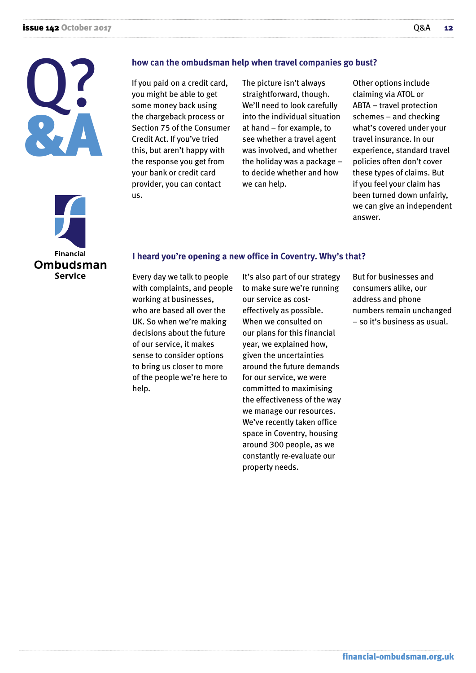



#### **how can the ombudsman help when travel companies go bust?**

If you paid on a credit card, you might be able to get some money back using the chargeback process or Section 75 of the Consumer Credit Act. If you've tried this, but aren't happy with the response you get from your bank or credit card provider, you can contact us.

The picture isn't always straightforward, though. We'll need to look carefully into the individual situation at hand – for example, to see whether a travel agent was involved, and whether the holiday was a package – to decide whether and how we can help.

Other options include claiming via ATOL or ABTA – travel protection schemes – and checking what's covered under your travel insurance. In our experience, standard travel policies often don't cover these types of claims. But if you feel your claim has been turned down unfairly, we can give an independent answer.

#### **I heard you're opening a new office in Coventry. Why's that?**

Every day we talk to people with complaints, and people working at businesses, who are based all over the UK. So when we're making decisions about the future of our service, it makes sense to consider options to bring us closer to more of the people we're here to help.

It's also part of our strategy to make sure we're running our service as costeffectively as possible. When we consulted on our plans for this financial year, we explained how, given the uncertainties around the future demands for our service, we were committed to maximising the effectiveness of the way we manage our resources. We've recently taken office space in Coventry, housing around 300 people, as we constantly re-evaluate our property needs.

But for businesses and consumers alike, our address and phone numbers remain unchanged – so it's business as usual.